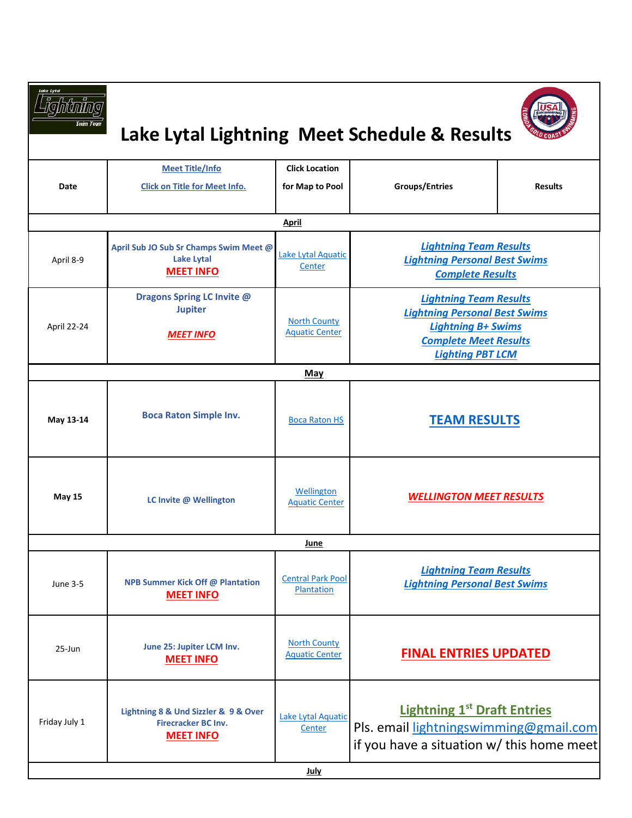| Lake Lytal    | Lake Lytal Lightning Meet Schedule & Results                                           |                                              |                                                                                                                                                               |                |
|---------------|----------------------------------------------------------------------------------------|----------------------------------------------|---------------------------------------------------------------------------------------------------------------------------------------------------------------|----------------|
| Date          | <b>Meet Title/Info</b><br><b>Click on Title for Meet Info.</b>                         | <b>Click Location</b><br>for Map to Pool     | <b>Groups/Entries</b>                                                                                                                                         | <b>Results</b> |
|               |                                                                                        | April                                        |                                                                                                                                                               |                |
| April 8-9     | April Sub JO Sub Sr Champs Swim Meet @<br>Lake Lytal<br><b>MEET INFO</b>               | Lake Lytal Aquatic<br>Center                 | <b>Lightning Team Results</b><br><b>Lightning Personal Best Swims</b><br><b>Complete Results</b>                                                              |                |
| April 22-24   | Dragons Spring LC Invite @<br><b>Jupiter</b><br><b>MEET INFO</b>                       | <b>North County</b><br><b>Aquatic Center</b> | <b>Lightning Team Results</b><br><b>Lightning Personal Best Swims</b><br><b>Lightning B+ Swims</b><br><b>Complete Meet Results</b><br><b>Lighting PBT LCM</b> |                |
|               |                                                                                        | <b>May</b>                                   |                                                                                                                                                               |                |
| May 13-14     | <b>Boca Raton Simple Inv.</b>                                                          | <b>Boca Raton HS</b>                         | <b>TEAM RESULTS</b>                                                                                                                                           |                |
| <b>May 15</b> | LC Invite @ Wellington                                                                 | Wellington<br><b>Aquatic Center</b>          | <b>WELLINGTON MEET RESULTS</b>                                                                                                                                |                |
|               |                                                                                        | June                                         |                                                                                                                                                               |                |
| June 3-5      | <b>NPB Summer Kick Off @ Plantation</b><br><b>MEET INFO</b>                            | <b>Central Park Pool</b><br>Plantation       | <b>Lightning Team Results</b><br><b>Lightning Personal Best Swims</b>                                                                                         |                |
| 25-Jun        | June 25: Jupiter LCM Inv.<br><b>MEET INFO</b>                                          | <b>North County</b><br><b>Aquatic Center</b> | <b>FINAL ENTRIES UPDATED</b>                                                                                                                                  |                |
| Friday July 1 | Lightning 8 & Und Sizzler & 9 & Over<br><b>Firecracker BC Inv.</b><br><b>MEET INFO</b> | Lake Lytal Aquatic<br>Center                 | <b>Lightning 1st Draft Entries</b><br>Pls. email lightningswimming@gmail.com<br>if you have a situation w/ this home meet                                     |                |
|               |                                                                                        | <b>July</b>                                  |                                                                                                                                                               |                |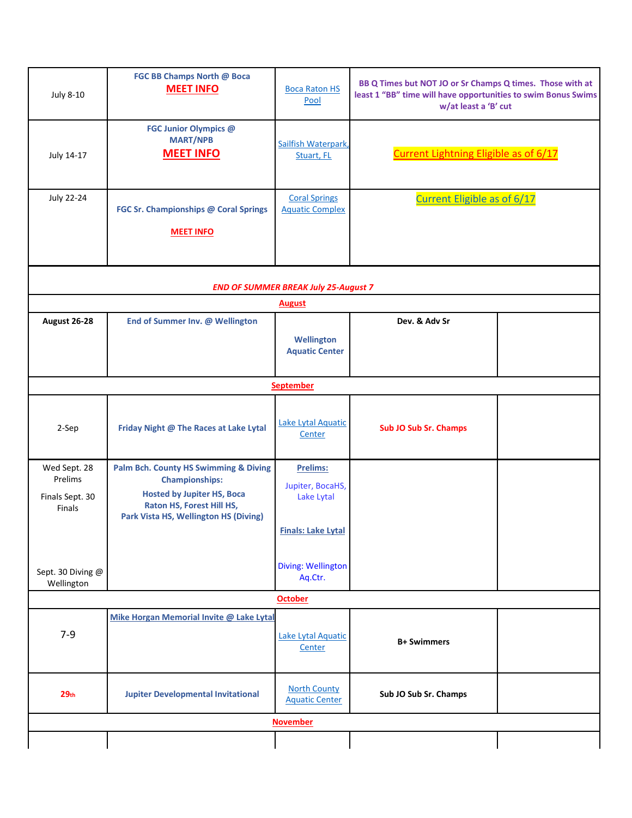| <b>July 8-10</b>                                            | FGC BB Champs North @ Boca<br><b>MEET INFO</b>                                                                                                                                       | <b>Boca Raton HS</b><br>Pool                                                   | BB Q Times but NOT JO or Sr Champs Q times. Those with at<br>least 1 "BB" time will have opportunities to swim Bonus Swims<br>w/at least a 'B' cut |  |  |  |  |  |
|-------------------------------------------------------------|--------------------------------------------------------------------------------------------------------------------------------------------------------------------------------------|--------------------------------------------------------------------------------|----------------------------------------------------------------------------------------------------------------------------------------------------|--|--|--|--|--|
| July 14-17                                                  | FGC Junior Olympics @<br><b>MART/NPB</b><br><b>MEET INFO</b>                                                                                                                         | Sailfish Waterpark,<br>Stuart, FL                                              | <b>Current Lightning Eligible as of 6/17</b>                                                                                                       |  |  |  |  |  |
| <b>July 22-24</b>                                           | FGC Sr. Championships @ Coral Springs<br><b>MEET INFO</b>                                                                                                                            | <b>Coral Springs</b><br><b>Aquatic Complex</b>                                 | <b>Current Eligible as of 6/17</b>                                                                                                                 |  |  |  |  |  |
| <b>END OF SUMMER BREAK July 25-August 7</b>                 |                                                                                                                                                                                      |                                                                                |                                                                                                                                                    |  |  |  |  |  |
|                                                             |                                                                                                                                                                                      | <b>August</b>                                                                  |                                                                                                                                                    |  |  |  |  |  |
| August 26-28                                                | End of Summer Inv. @ Wellington                                                                                                                                                      |                                                                                | Dev. & Adv Sr                                                                                                                                      |  |  |  |  |  |
|                                                             |                                                                                                                                                                                      | <b>Wellington</b><br><b>Aquatic Center</b>                                     |                                                                                                                                                    |  |  |  |  |  |
|                                                             |                                                                                                                                                                                      | <b>September</b>                                                               |                                                                                                                                                    |  |  |  |  |  |
| 2-Sep                                                       | Friday Night @ The Races at Lake Lytal                                                                                                                                               | Lake Lytal Aquatic<br>Center                                                   | <b>Sub JO Sub Sr. Champs</b>                                                                                                                       |  |  |  |  |  |
| Wed Sept. 28<br>Prelims<br>Finals Sept. 30<br><b>Finals</b> | <b>Palm Bch. County HS Swimming &amp; Diving</b><br><b>Championships:</b><br><b>Hosted by Jupiter HS, Boca</b><br>Raton HS, Forest Hill HS,<br>Park Vista HS, Wellington HS (Diving) | <b>Prelims:</b><br>Jupiter, BocaHS,<br>Lake Lytal<br><b>Finals: Lake Lytal</b> |                                                                                                                                                    |  |  |  |  |  |
| Sept. 30 Diving @<br>Wellington                             |                                                                                                                                                                                      | Diving: Wellington<br>Aq.Ctr.                                                  |                                                                                                                                                    |  |  |  |  |  |
| <b>October</b>                                              |                                                                                                                                                                                      |                                                                                |                                                                                                                                                    |  |  |  |  |  |
| $7-9$                                                       | Mike Horgan Memorial Invite @ Lake Lytal                                                                                                                                             | Lake Lytal Aquatic<br>Center                                                   | <b>B+ Swimmers</b>                                                                                                                                 |  |  |  |  |  |
| 29 <sub>th</sub>                                            | <b>Jupiter Developmental Invitational</b>                                                                                                                                            | <b>North County</b><br><b>Aquatic Center</b>                                   | Sub JO Sub Sr. Champs                                                                                                                              |  |  |  |  |  |
| <b>November</b>                                             |                                                                                                                                                                                      |                                                                                |                                                                                                                                                    |  |  |  |  |  |
|                                                             |                                                                                                                                                                                      |                                                                                |                                                                                                                                                    |  |  |  |  |  |